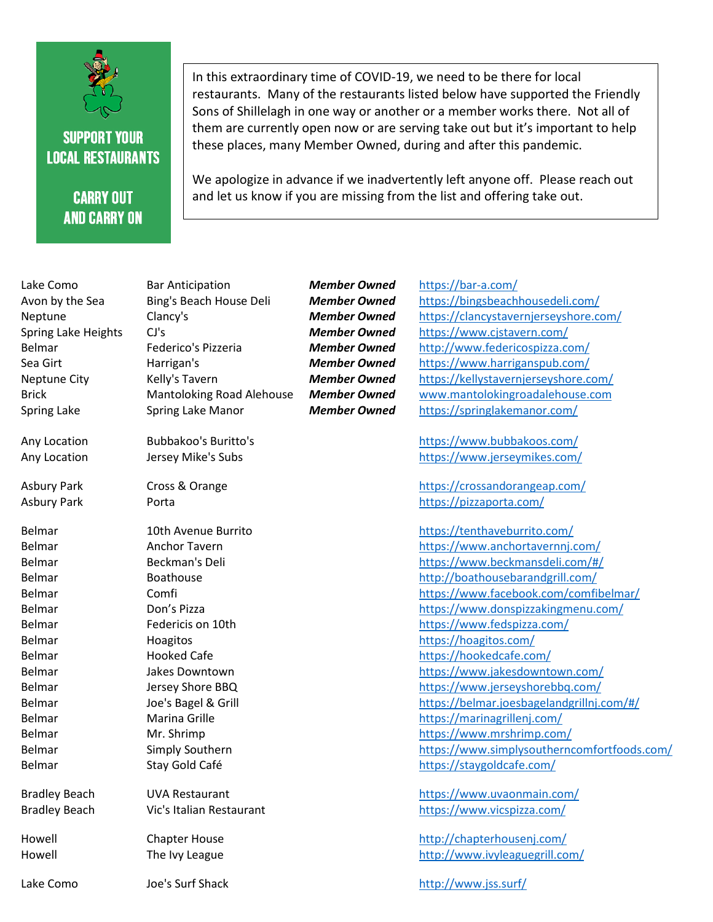

## **SUPPORT YOUR LOCAL RESTAURANTS**

## **CARRY OUT AND CARRY ON**

In this extraordinary time of COVID-19, we need to be there for local restaurants. Many of the restaurants listed below have supported the Friendly Sons of Shillelagh in one way or another or a member works there. Not all of them are currently open now or are serving take out but it's important to help these places, many Member Owned, during and after this pandemic.

We apologize in advance if we inadvertently left anyone off. Please reach out and let us know if you are missing from the list and offering take out.

| Lake Como            | <b>Bar Anticipation</b>          | <b>Member Owned</b> | https://bar-a.com/                          |
|----------------------|----------------------------------|---------------------|---------------------------------------------|
| Avon by the Sea      | Bing's Beach House Deli          | <b>Member Owned</b> | https://bingsbeachhousedeli.com/            |
| Neptune              | Clancy's                         | <b>Member Owned</b> | https://clancystavernjerseyshore.com/       |
| Spring Lake Heights  | CJ's                             | <b>Member Owned</b> | https://www.cjstavern.com/                  |
| Belmar               | Federico's Pizzeria              | <b>Member Owned</b> | http://www.federicospizza.com/              |
| Sea Girt             | Harrigan's                       | <b>Member Owned</b> | https://www.harriganspub.com/               |
| Neptune City         | Kelly's Tavern                   | <b>Member Owned</b> | https://kellystavernjerseyshore.com/        |
| <b>Brick</b>         | <b>Mantoloking Road Alehouse</b> | <b>Member Owned</b> | www.mantolokingroadalehouse.com             |
| Spring Lake          | Spring Lake Manor                | <b>Member Owned</b> | https://springlakemanor.com/                |
| Any Location         | <b>Bubbakoo's Buritto's</b>      |                     | https://www.bubbakoos.com/                  |
| Any Location         | Jersey Mike's Subs               |                     | https://www.jerseymikes.com/                |
| Asbury Park          | Cross & Orange                   |                     | https://crossandorangeap.com/               |
| <b>Asbury Park</b>   | Porta                            |                     | https://pizzaporta.com/                     |
| Belmar               | 10th Avenue Burrito              |                     | https://tenthaveburrito.com/                |
| Belmar               | Anchor Tavern                    |                     | https://www.anchortavernnj.com/             |
| Belmar               | Beckman's Deli                   |                     | https://www.beckmansdeli.com/#/             |
| Belmar               | <b>Boathouse</b>                 |                     | http://boathousebarandgrill.com/            |
| Belmar               | Comfi                            |                     | https://www.facebook.com/comfibelmar/       |
| Belmar               | Don's Pizza                      |                     | https://www.donspizzakingmenu.com/          |
| Belmar               | Federicis on 10th                |                     | https://www.fedspizza.com/                  |
| Belmar               | Hoagitos                         |                     | https://hoagitos.com/                       |
| Belmar               | <b>Hooked Cafe</b>               |                     | https://hookedcafe.com/                     |
| Belmar               | Jakes Downtown                   |                     | https://www.jakesdowntown.com/              |
| Belmar               | Jersey Shore BBQ                 |                     | https://www.jerseyshorebbq.com/             |
| Belmar               | Joe's Bagel & Grill              |                     | https://belmar.joesbagelandgrillnj.com/#/   |
| Belmar               | Marina Grille                    |                     | https://marinagrillenj.com/                 |
| Belmar               | Mr. Shrimp                       |                     | https://www.mrshrimp.com/                   |
| Belmar               | Simply Southern                  |                     | https://www.simplysoutherncomfortfoods.com/ |
| Belmar               | Stay Gold Café                   |                     | https://staygoldcafe.com/                   |
| <b>Bradley Beach</b> | <b>UVA Restaurant</b>            |                     | https://www.uvaonmain.com/                  |
| <b>Bradley Beach</b> | Vic's Italian Restaurant         |                     | https://www.vicspizza.com/                  |
| Howell               | <b>Chapter House</b>             |                     | http://chapterhousenj.com/                  |
| Howell               | The Ivy League                   |                     | http://www.ivyleaguegrill.com/              |
| Lake Como            | Joe's Surf Shack                 |                     | http://www.jss.surf/                        |
|                      |                                  |                     |                                             |